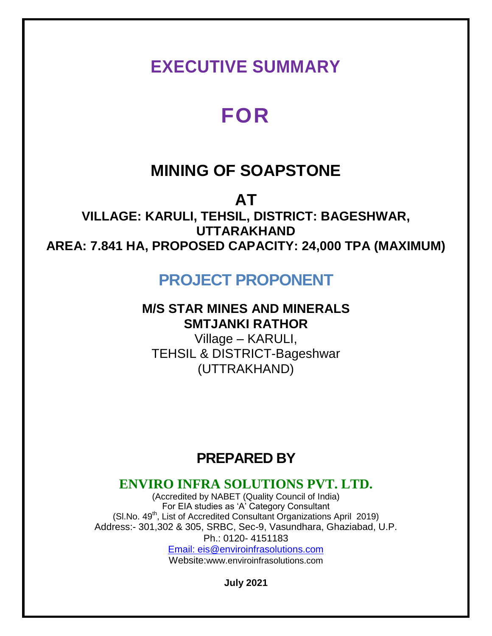## **EXECUTIVE SUMMARY**

# **FOR**

## **MINING OF SOAPSTONE**

**AT VILLAGE: KARULI, TEHSIL, DISTRICT: BAGESHWAR, UTTARAKHAND AREA: 7.841 HA, PROPOSED CAPACITY: 24,000 TPA (MAXIMUM)**

## **PROJECT PROPONENT**

### **M/S STAR MINES AND MINERALS SMTJANKI RATHOR**

Village – KARULI, TEHSIL & DISTRICT-Bageshwar (UTTRAKHAND)

## **PREPARED BY**

### **ENVIRO INFRA SOLUTIONS PVT. LTD.**

(Accredited by NABET (Quality Council of India) For EIA studies as 'A' Category Consultant (Sl.No. 49<sup>th</sup>, List of Accredited Consultant Organizations April 2019) Address:- 301,302 & 305, SRBC, Sec-9, Vasundhara, Ghaziabad, U.P. Ph.: 0120- 4151183

Email: eis@enviroinfrasolutions.com Website:www.enviroinfrasolutions.com

**July 2021**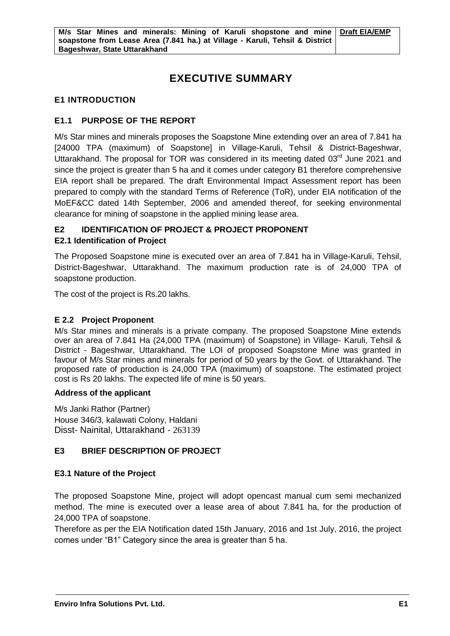### **EXECUTIVE SUMMARY**

#### **E1 INTRODUCTION**

#### **E1.1 PURPOSE OF THE REPORT**

M/s Star mines and minerals proposes the Soapstone Mine extending over an area of 7.841 ha [24000 TPA (maximum) of Soapstone] in Village-Karuli, Tehsil & District-Bageshwar, Uttarakhand. The proposal for TOR was considered in its meeting dated 03<sup>rd</sup> June 2021 and since the project is greater than 5 ha and it comes under category B1 therefore comprehensive EIA report shall be prepared. The draft Environmental Impact Assessment report has been prepared to comply with the standard Terms of Reference (ToR), under EIA notification of the MoEF&CC dated 14th September, 2006 and amended thereof, for seeking environmental clearance for mining of soapstone in the applied mining lease area.

#### **E2 IDENTIFICATION OF PROJECT & PROJECT PROPONENT E2.1 Identification of Project**

The Proposed Soapstone mine is executed over an area of 7.841 ha in Village-Karuli, Tehsil, District-Bageshwar, Uttarakhand. The maximum production rate is of 24,000 TPA of soapstone production.

The cost of the project is Rs.20 lakhs.

#### **E 2.2 Project Proponent**

M/s Star mines and minerals is a private company. The proposed Soapstone Mine extends over an area of 7.841 Ha (24,000 TPA (maximum) of Soapstone) in Village- Karuli, Tehsil & District - Bageshwar, Uttarakhand. The LOI of proposed Soapstone Mine was granted in favour of M/s Star mines and minerals for period of 50 years by the Govt. of Uttarakhand. The proposed rate of production is 24,000 TPA (maximum) of soapstone. The estimated project cost is Rs 20 lakhs. The expected life of mine is 50 years.

#### **Address of the applicant**

M/s Janki Rathor (Partner) House 346/3, kalawati Colony, Haldani Disst- Nainital, Uttarakhand - 263139

#### **E3 BRIEF DESCRIPTION OF PROJECT**

#### **E3.1 Nature of the Project**

The proposed Soapstone Mine, project will adopt opencast manual cum semi mechanized method. The mine is executed over a lease area of about 7.841 ha, for the production of 24,000 TPA of soapstone.

Therefore as per the EIA Notification dated 15th January, 2016 and 1st July, 2016, the project comes under "B1" Category since the area is greater than 5 ha.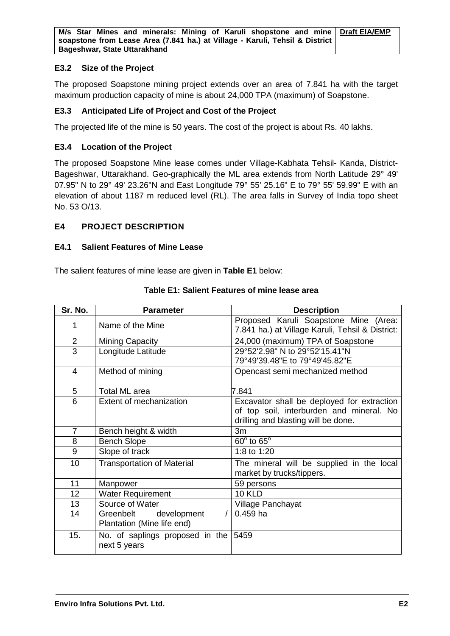#### **E3.2 Size of the Project**

The proposed Soapstone mining project extends over an area of 7.841 ha with the target maximum production capacity of mine is about 24,000 TPA (maximum) of Soapstone.

#### **E3.3 Anticipated Life of Project and Cost of the Project**

The projected life of the mine is 50 years. The cost of the project is about Rs. 40 lakhs.

#### **E3.4 Location of the Project**

The proposed Soapstone Mine lease comes under Village-Kabhata Tehsil- Kanda, District-Bageshwar, Uttarakhand. Geo-graphically the ML area extends from North Latitude 29° 49' 07.95" N to 29° 49' 23.26"N and East Longitude 79° 55' 25.16" E to 79° 55' 59.99" E with an elevation of about 1187 m reduced level (RL). The area falls in Survey of India topo sheet No. 53 O/13.

#### **E4 PROJECT DESCRIPTION**

#### **E4.1 Salient Features of Mine Lease**

The salient features of mine lease are given in **Table E1** below:

| Sr. No.        | <b>Parameter</b>                                       | <b>Description</b>                                                                                                            |
|----------------|--------------------------------------------------------|-------------------------------------------------------------------------------------------------------------------------------|
| 1              | Name of the Mine                                       | Proposed Karuli Soapstone Mine (Area:<br>7.841 ha.) at Village Karuli, Tehsil & District:                                     |
| $\overline{2}$ | <b>Mining Capacity</b>                                 | 24,000 (maximum) TPA of Soapstone                                                                                             |
| $\overline{3}$ | Longitude Latitude                                     | 29°52'2.98" N to 29°52'15.41"N<br>79°49'39.48"E to 79°49'45.82"E                                                              |
| 4              | Method of mining                                       | Opencast semi mechanized method                                                                                               |
| 5              | Total ML area                                          | 7.841                                                                                                                         |
| 6              | Extent of mechanization                                | Excavator shall be deployed for extraction<br>of top soil, interburden and mineral. No<br>drilling and blasting will be done. |
| $\overline{7}$ | Bench height & width                                   | 3m                                                                                                                            |
| 8              | <b>Bench Slope</b>                                     | $60^\circ$ to $65^\circ$                                                                                                      |
| 9              | Slope of track                                         | 1:8 to 1:20                                                                                                                   |
| 10             | <b>Transportation of Material</b>                      | The mineral will be supplied in the local<br>market by trucks/tippers.                                                        |
| 11             | Manpower                                               | 59 persons                                                                                                                    |
| 12             | <b>Water Requirement</b>                               | <b>10 KLD</b>                                                                                                                 |
| 13             | Source of Water                                        | Village Panchayat                                                                                                             |
| 14             | Greenbelt<br>development<br>Plantation (Mine life end) | $0.459$ ha                                                                                                                    |
| 15.            | No. of saplings proposed in the<br>next 5 years        | 5459                                                                                                                          |

#### **Table E1: Salient Features of mine lease area**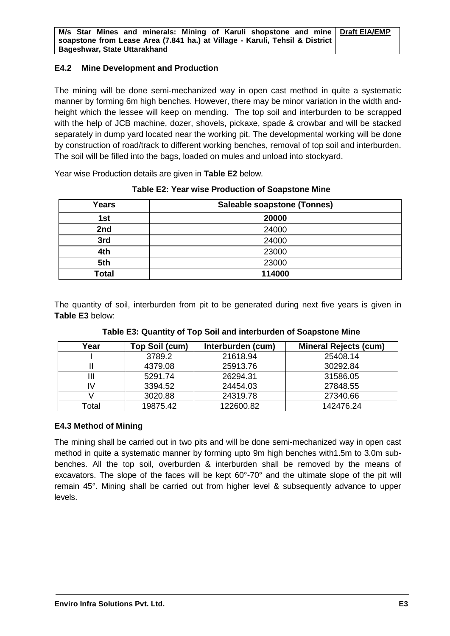#### **E4.2 Mine Development and Production**

The mining will be done semi-mechanized way in open cast method in quite a systematic manner by forming 6m high benches. However, there may be minor variation in the width andheight which the lessee will keep on mending. The top soil and interburden to be scrapped with the help of JCB machine, dozer, shovels, pickaxe, spade & crowbar and will be stacked separately in dump yard located near the working pit. The developmental working will be done by construction of road/track to different working benches, removal of top soil and interburden. The soil will be filled into the bags, loaded on mules and unload into stockyard.

Year wise Production details are given in **Table E2** below.

| Years        | Saleable soapstone (Tonnes) |
|--------------|-----------------------------|
| 1st          | 20000                       |
| 2nd          | 24000                       |
| 3rd          | 24000                       |
| 4th          | 23000                       |
| 5th          | 23000                       |
| <b>Total</b> | 114000                      |

**Table E2: Year wise Production of Soapstone Mine**

The quantity of soil, interburden from pit to be generated during next five years is given in **Table E3** below:

| Year  | Top Soil (cum) | Interburden (cum) | <b>Mineral Rejects (cum)</b> |
|-------|----------------|-------------------|------------------------------|
|       | 3789.2         | 21618.94          | 25408.14                     |
|       | 4379.08        | 25913.76          | 30292.84                     |
|       | 5291.74        | 26294.31          | 31586.05                     |
|       | 3394.52        | 24454.03          | 27848.55                     |
|       | 3020.88        | 24319.78          | 27340.66                     |
| Гоtal | 19875.42       | 122600.82         | 142476.24                    |

**Table E3: Quantity of Top Soil and interburden of Soapstone Mine**

#### **E4.3 Method of Mining**

The mining shall be carried out in two pits and will be done semi-mechanized way in open cast method in quite a systematic manner by forming upto 9m high benches with1.5m to 3.0m subbenches. All the top soil, overburden & interburden shall be removed by the means of excavators. The slope of the faces will be kept 60°-70° and the ultimate slope of the pit will remain 45°. Mining shall be carried out from higher level & subsequently advance to upper levels.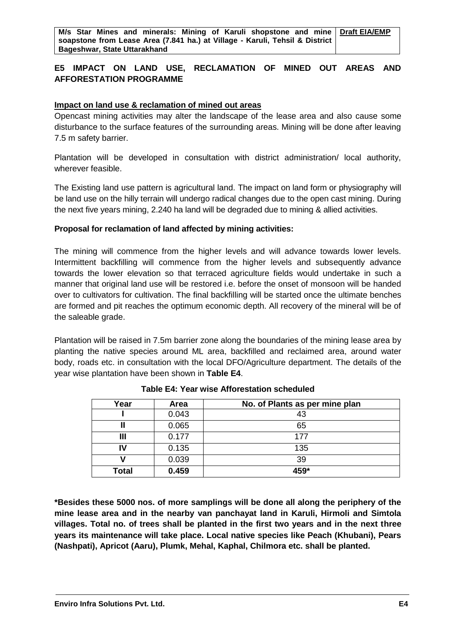**M/s Star Mines and minerals: Mining of Karuli shopstone and mine soapstone from Lease Area (7.841 ha.) at Village - Karuli, Tehsil & District Bageshwar, State Uttarakhand Draft EIA/EMP**

#### **E5 IMPACT ON LAND USE, RECLAMATION OF MINED OUT AREAS AND AFFORESTATION PROGRAMME**

#### **Impact on land use & reclamation of mined out areas**

Opencast mining activities may alter the landscape of the lease area and also cause some disturbance to the surface features of the surrounding areas. Mining will be done after leaving 7.5 m safety barrier.

Plantation will be developed in consultation with district administration/ local authority, wherever feasible.

The Existing land use pattern is agricultural land. The impact on land form or physiography will be land use on the hilly terrain will undergo radical changes due to the open cast mining. During the next five years mining, 2.240 ha land will be degraded due to mining & allied activities.

#### **Proposal for reclamation of land affected by mining activities:**

The mining will commence from the higher levels and will advance towards lower levels. Intermittent backfilling will commence from the higher levels and subsequently advance towards the lower elevation so that terraced agriculture fields would undertake in such a manner that original land use will be restored i.e. before the onset of monsoon will be handed over to cultivators for cultivation. The final backfilling will be started once the ultimate benches are formed and pit reaches the optimum economic depth. All recovery of the mineral will be of the saleable grade.

Plantation will be raised in 7.5m barrier zone along the boundaries of the mining lease area by planting the native species around ML area, backfilled and reclaimed area, around water body, roads etc. in consultation with the local DFO/Agriculture department. The details of the year wise plantation have been shown in **Table E4**.

| Year         | Area  | No. of Plants as per mine plan |
|--------------|-------|--------------------------------|
|              | 0.043 | 43                             |
| Ш            | 0.065 | 65                             |
| Ш            | 0.177 | 177                            |
| IV           | 0.135 | 135                            |
|              | 0.039 | 39                             |
| <b>Total</b> | 0.459 | 459*                           |

**Table E4: Year wise Afforestation scheduled**

**\*Besides these 5000 nos. of more samplings will be done all along the periphery of the mine lease area and in the nearby van panchayat land in Karuli, Hirmoli and Simtola villages. Total no. of trees shall be planted in the first two years and in the next three years its maintenance will take place. Local native species like Peach (Khubani), Pears (Nashpati), Apricot (Aaru), Plumk, Mehal, Kaphal, Chilmora etc. shall be planted.**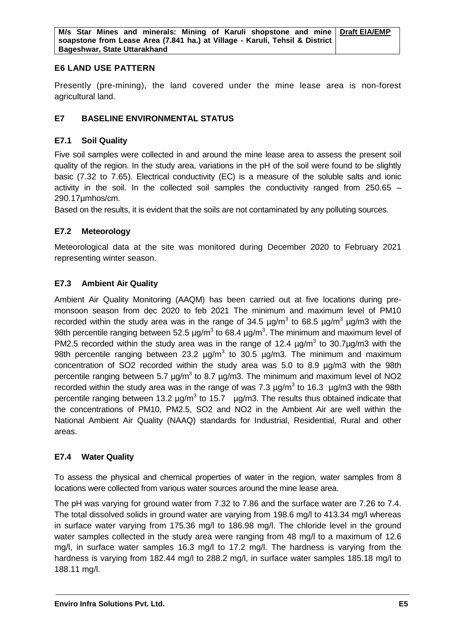#### **E6 LAND USE PATTERN**

Presently (pre-mining), the land covered under the mine lease area is non-forest agricultural land.

#### **E7 BASELINE ENVIRONMENTAL STATUS**

#### **E7.1 Soil Quality**

Five soil samples were collected in and around the mine lease area to assess the present soil quality of the region. In the study area, variations in the pH of the soil were found to be slightly basic (7.32 to 7.65). Electrical conductivity (EC) is a measure of the soluble salts and ionic activity in the soil. In the collected soil samples the conductivity ranged from 250.65 – 290.17µmhos/cm.

Based on the results, it is evident that the soils are not contaminated by any polluting sources.

#### **E7.2 Meteorology**

Meteorological data at the site was monitored during December 2020 to February 2021 representing winter season.

#### **E7.3 Ambient Air Quality**

Ambient Air Quality Monitoring (AAQM) has been carried out at five locations during premonsoon season from dec 2020 to feb 2021 The minimum and maximum level of PM10 recorded within the study area was in the range of 34.5  $\mu$ g/m<sup>3</sup> to 68.5  $\mu$ g/m<sup>3</sup>  $\mu$ g/m3 with the 98th percentile ranging between 52.5  $\mu$ g/m<sup>3</sup> to 68.4  $\mu$ g/m<sup>3</sup>. The minimum and maximum level of PM2.5 recorded within the study area was in the range of 12.4  $\mu$ g/m<sup>3</sup> to 30.7 $\mu$ g/m3 with the 98th percentile ranging between 23.2  $\mu$ g/m<sup>3</sup> to 30.5  $\mu$ g/m3. The minimum and maximum concentration of SO2 recorded within the study area was 5.0 to 8.9 µg/m3 with the 98th percentile ranging between 5.7  $\mu$ g/m<sup>3</sup> to 8.7  $\mu$ g/m3. The minimum and maximum level of NO2 recorded within the study area was in the range of was 7.3  $\mu$ g/m<sup>3</sup> to 16.3  $\mu$ g/m3 with the 98th percentile ranging between 13.2  $\mu$ g/m<sup>3</sup> to 15.7  $\mu$ g/m3. The results thus obtained indicate that the concentrations of PM10, PM2.5, SO2 and NO2 in the Ambient Air are well within the National Ambient Air Quality (NAAQ) standards for Industrial, Residential, Rural and other areas.

#### **E7.4 Water Quality**

To assess the physical and chemical properties of water in the region, water samples from 8 locations were collected from various water sources around the mine lease area.

The pH was varying for ground water from 7.32 to 7.86 and the surface water are 7.26 to 7.4. The total dissolved solids in ground water are varying from 198.6 mg/l to 413.34 mg/l whereas in surface water varying from 175.36 mg/l to 186.98 mg/l. The chloride level in the ground water samples collected in the study area were ranging from 48 mg/l to a maximum of 12.6 mg/l, in surface water samples 16.3 mg/l to 17.2 mg/l. The hardness is varying from the hardness is varying from 182.44 mg/l to 288.2 mg/l, in surface water samples 185.18 mg/l to 188.11 mg/l.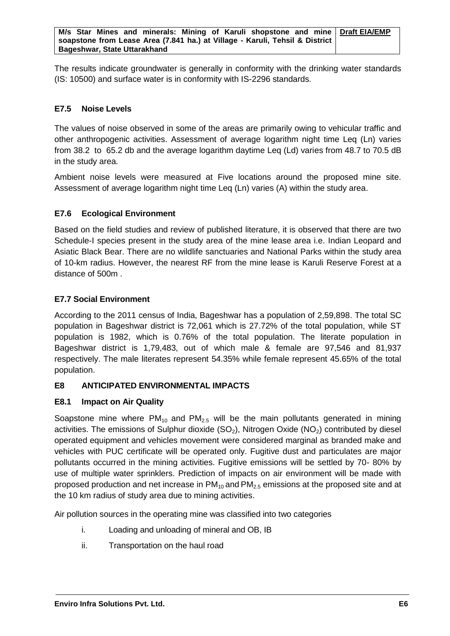The results indicate groundwater is generally in conformity with the drinking water standards (IS: 10500) and surface water is in conformity with IS-2296 standards.

#### **E7.5 Noise Levels**

The values of noise observed in some of the areas are primarily owing to vehicular traffic and other anthropogenic activities. Assessment of average logarithm night time Leq (Ln) varies from 38.2 to 65.2 db and the average logarithm daytime Leq (Ld) varies from 48.7 to 70.5 dB in the study area.

Ambient noise levels were measured at Five locations around the proposed mine site. Assessment of average logarithm night time Leq (Ln) varies (A) within the study area.

#### **E7.6 Ecological Environment**

Based on the field studies and review of published literature, it is observed that there are two Schedule-I species present in the study area of the mine lease area i.e. Indian Leopard and Asiatic Black Bear. There are no wildlife sanctuaries and National Parks within the study area of 10-km radius. However, the nearest RF from the mine lease is Karuli Reserve Forest at a distance of 500m .

#### **E7.7 Social Environment**

According to the 2011 census of India, Bageshwar has a population of 2,59,898. The total SC population in Bageshwar district is 72,061 which is 27.72% of the total population, while ST population is 1982, which is 0.76% of the total population. The literate population in Bageshwar district is 1,79,483, out of which male & female are 97,546 and 81,937 respectively. The male literates represent 54.35% while female represent 45.65% of the total population.

#### **E8 ANTICIPATED ENVIRONMENTAL IMPACTS**

#### **E8.1 Impact on Air Quality**

Soapstone mine where  $PM_{10}$  and  $PM_{2.5}$  will be the main pollutants generated in mining activities. The emissions of Sulphur dioxide  $(SO<sub>2</sub>)$ , Nitrogen Oxide  $(NO<sub>2</sub>)$  contributed by diesel operated equipment and vehicles movement were considered marginal as branded make and vehicles with PUC certificate will be operated only. Fugitive dust and particulates are major pollutants occurred in the mining activities. Fugitive emissions will be settled by 70- 80% by use of multiple water sprinklers. Prediction of impacts on air environment will be made with proposed production and net increase in  $PM_{10}$  and  $PM_{2.5}$  emissions at the proposed site and at the 10 km radius of study area due to mining activities.

Air pollution sources in the operating mine was classified into two categories

- i. Loading and unloading of mineral and OB, IB
- ii. Transportation on the haul road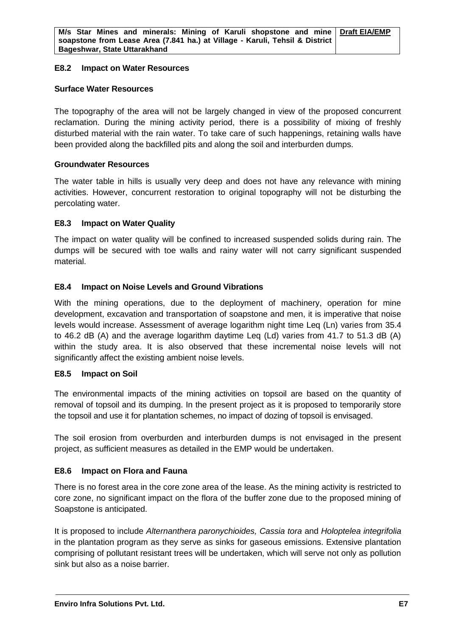#### **E8.2 Impact on Water Resources**

#### **Surface Water Resources**

The topography of the area will not be largely changed in view of the proposed concurrent reclamation. During the mining activity period, there is a possibility of mixing of freshly disturbed material with the rain water. To take care of such happenings, retaining walls have been provided along the backfilled pits and along the soil and interburden dumps.

#### **Groundwater Resources**

The water table in hills is usually very deep and does not have any relevance with mining activities. However, concurrent restoration to original topography will not be disturbing the percolating water.

#### **E8.3 Impact on Water Quality**

The impact on water quality will be confined to increased suspended solids during rain. The dumps will be secured with toe walls and rainy water will not carry significant suspended material.

#### **E8.4 Impact on Noise Levels and Ground Vibrations**

With the mining operations, due to the deployment of machinery, operation for mine development, excavation and transportation of soapstone and men, it is imperative that noise levels would increase. Assessment of average logarithm night time Leq (Ln) varies from 35.4 to 46.2 dB (A) and the average logarithm daytime Leq (Ld) varies from 41.7 to 51.3 dB (A) within the study area. It is also observed that these incremental noise levels will not significantly affect the existing ambient noise levels.

#### **E8.5 Impact on Soil**

The environmental impacts of the mining activities on topsoil are based on the quantity of removal of topsoil and its dumping. In the present project as it is proposed to temporarily store the topsoil and use it for plantation schemes, no impact of dozing of topsoil is envisaged.

The soil erosion from overburden and interburden dumps is not envisaged in the present project, as sufficient measures as detailed in the EMP would be undertaken.

#### **E8.6 Impact on Flora and Fauna**

There is no forest area in the core zone area of the lease. As the mining activity is restricted to core zone, no significant impact on the flora of the buffer zone due to the proposed mining of Soapstone is anticipated.

It is proposed to include *Alternanthera paronychioides, Cassia tora* and *Holoptelea integrifolia*  in the plantation program as they serve as sinks for gaseous emissions. Extensive plantation comprising of pollutant resistant trees will be undertaken, which will serve not only as pollution sink but also as a noise barrier.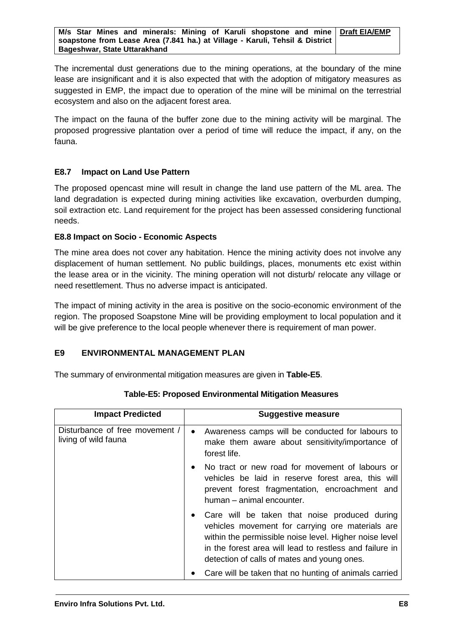The incremental dust generations due to the mining operations, at the boundary of the mine lease are insignificant and it is also expected that with the adoption of mitigatory measures as suggested in EMP, the impact due to operation of the mine will be minimal on the terrestrial ecosystem and also on the adjacent forest area.

The impact on the fauna of the buffer zone due to the mining activity will be marginal. The proposed progressive plantation over a period of time will reduce the impact, if any, on the fauna.

#### **E8.7 Impact on Land Use Pattern**

The proposed opencast mine will result in change the land use pattern of the ML area. The land degradation is expected during mining activities like excavation, overburden dumping, soil extraction etc. Land requirement for the project has been assessed considering functional needs.

#### **E8.8 Impact on Socio - Economic Aspects**

The mine area does not cover any habitation. Hence the mining activity does not involve any displacement of human settlement. No public buildings, places, monuments etc exist within the lease area or in the vicinity. The mining operation will not disturb/ relocate any village or need resettlement. Thus no adverse impact is anticipated.

The impact of mining activity in the area is positive on the socio-economic environment of the region. The proposed Soapstone Mine will be providing employment to local population and it will be give preference to the local people whenever there is requirement of man power.

#### **E9 ENVIRONMENTAL MANAGEMENT PLAN**

The summary of environmental mitigation measures are given in **Table-E5**.

| <b>Impact Predicted</b>                                | <b>Suggestive measure</b>                                                                                                                                                                                                                                             |
|--------------------------------------------------------|-----------------------------------------------------------------------------------------------------------------------------------------------------------------------------------------------------------------------------------------------------------------------|
| Disturbance of free movement /<br>living of wild fauna | Awareness camps will be conducted for labours to<br>$\bullet$<br>make them aware about sensitivity/importance of<br>forest life.                                                                                                                                      |
|                                                        | No tract or new road for movement of labours or<br>vehicles be laid in reserve forest area, this will<br>prevent forest fragmentation, encroachment and<br>human - animal encounter.                                                                                  |
|                                                        | Care will be taken that noise produced during<br>vehicles movement for carrying ore materials are<br>within the permissible noise level. Higher noise level<br>in the forest area will lead to restless and failure in<br>detection of calls of mates and young ones. |
|                                                        | Care will be taken that no hunting of animals carried                                                                                                                                                                                                                 |

**Table-E5: Proposed Environmental Mitigation Measures**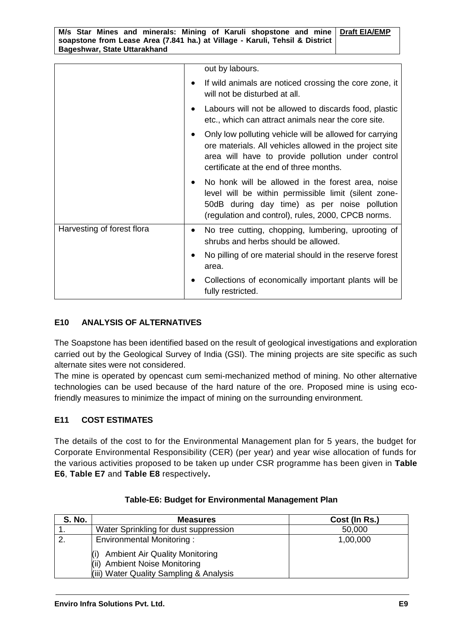|  |  |                              |  |                                                                              |  | M/s Star Mines and minerals: Mining of Karuli shopstone and mine Draft EIA/EMP |
|--|--|------------------------------|--|------------------------------------------------------------------------------|--|--------------------------------------------------------------------------------|
|  |  |                              |  | soapstone from Lease Area (7.841 ha.) at Village - Karuli, Tehsil & District |  |                                                                                |
|  |  | Bageshwar, State Uttarakhand |  |                                                                              |  |                                                                                |

|                            | out by labours.                                                                                                                                                                                                    |
|----------------------------|--------------------------------------------------------------------------------------------------------------------------------------------------------------------------------------------------------------------|
|                            | If wild animals are noticed crossing the core zone, it<br>will not be disturbed at all.                                                                                                                            |
|                            | Labours will not be allowed to discards food, plastic<br>etc., which can attract animals near the core site.                                                                                                       |
|                            | Only low polluting vehicle will be allowed for carrying<br>ore materials. All vehicles allowed in the project site<br>area will have to provide pollution under control<br>certificate at the end of three months. |
|                            | No honk will be allowed in the forest area, noise<br>level will be within permissible limit (silent zone-<br>50dB during day time) as per noise pollution<br>(regulation and control), rules, 2000, CPCB norms.    |
| Harvesting of forest flora | No tree cutting, chopping, lumbering, uprooting of<br>shrubs and herbs should be allowed.                                                                                                                          |
|                            | No pilling of ore material should in the reserve forest<br>area.                                                                                                                                                   |
|                            | Collections of economically important plants will be<br>fully restricted.                                                                                                                                          |

#### **E10 ANALYSIS OF ALTERNATIVES**

The Soapstone has been identified based on the result of geological investigations and exploration carried out by the Geological Survey of India (GSI). The mining projects are site specific as such alternate sites were not considered.

The mine is operated by opencast cum semi-mechanized method of mining. No other alternative technologies can be used because of the hard nature of the ore. Proposed mine is using ecofriendly measures to minimize the impact of mining on the surrounding environment.

#### **E11 COST ESTIMATES**

The details of the cost to for the Environmental Management plan for 5 years, the budget for Corporate Environmental Responsibility (CER) (per year) and year wise allocation of funds for the various activities proposed to be taken up under CSR programme has been given in **Table E6**, **Table E7** and **Table E8** respectively**.**

| <b>S. No.</b> | <b>Measures</b>                                                                                                   | Cost (In Rs.) |
|---------------|-------------------------------------------------------------------------------------------------------------------|---------------|
|               | Water Sprinkling for dust suppression                                                                             | 50,000        |
|               | Environmental Monitoring:                                                                                         | 1,00,000      |
|               | <b>Ambient Air Quality Monitoring</b><br>(ii) Ambient Noise Monitoring<br>(iii) Water Quality Sampling & Analysis |               |

| Table-E6: Budget for Environmental Management Plan |  |  |  |
|----------------------------------------------------|--|--|--|
|----------------------------------------------------|--|--|--|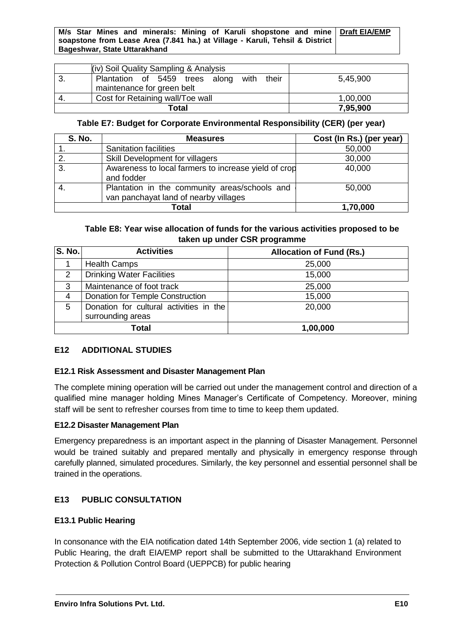**M/s Star Mines and minerals: Mining of Karuli shopstone and mine soapstone from Lease Area (7.841 ha.) at Village - Karuli, Tehsil & District Bageshwar, State Uttarakhand Draft EIA/EMP**

|     | (iv) Soil Quality Sampling & Analysis                                         |          |
|-----|-------------------------------------------------------------------------------|----------|
|     | Plantation of 5459 trees along<br>with<br>their<br>maintenance for green belt | 5,45,900 |
| -4. | Cost for Retaining wall/Toe wall                                              | 1,00,000 |
|     | Total                                                                         | 7,95,900 |

#### **Table E7: Budget for Corporate Environmental Responsibility (CER) (per year)**

| <b>S. No.</b>  | <b>Measures</b>                                                                        | Cost (In Rs.) (per year) |  |  |  |
|----------------|----------------------------------------------------------------------------------------|--------------------------|--|--|--|
|                | <b>Sanitation facilities</b>                                                           | 50,000                   |  |  |  |
| $\overline{2}$ | Skill Development for villagers                                                        | 30,000                   |  |  |  |
| 3.             | Awareness to local farmers to increase yield of crop<br>and fodder                     | 40,000                   |  |  |  |
|                | Plantation in the community areas/schools and<br>van panchayat land of nearby villages | 50,000                   |  |  |  |
|                | 1,70,000<br>Total                                                                      |                          |  |  |  |

#### **Table E8: Year wise allocation of funds for the various activities proposed to be taken up under CSR programme**

| <b>S. No.</b> | <b>Activities</b>                                            | <b>Allocation of Fund (Rs.)</b> |
|---------------|--------------------------------------------------------------|---------------------------------|
|               | <b>Health Camps</b>                                          | 25,000                          |
| $\mathbf{2}$  | <b>Drinking Water Facilities</b>                             | 15,000                          |
| 3             | Maintenance of foot track                                    | 25,000                          |
| 4             | Donation for Temple Construction                             | 15,000                          |
| 5             | Donation for cultural activities in the<br>surrounding areas | 20,000                          |
|               | Total                                                        | 1,00,000                        |

#### **E12 ADDITIONAL STUDIES**

#### **E12.1 Risk Assessment and Disaster Management Plan**

The complete mining operation will be carried out under the management control and direction of a qualified mine manager holding Mines Manager's Certificate of Competency. Moreover, mining staff will be sent to refresher courses from time to time to keep them updated.

#### **E12.2 Disaster Management Plan**

Emergency preparedness is an important aspect in the planning of Disaster Management. Personnel would be trained suitably and prepared mentally and physically in emergency response through carefully planned, simulated procedures. Similarly, the key personnel and essential personnel shall be trained in the operations.

#### **E13 PUBLIC CONSULTATION**

#### **E13.1 Public Hearing**

In consonance with the EIA notification dated 14th September 2006, vide section 1 (a) related to Public Hearing, the draft EIA/EMP report shall be submitted to the Uttarakhand Environment Protection & Pollution Control Board (UEPPCB) for public hearing